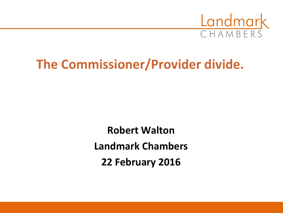

# **The Commissioner/Provider divide.**

**Robert Walton Landmark Chambers 22 February 2016**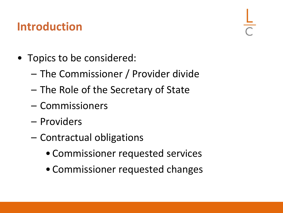# **Introduction**

- Topics to be considered:
	- The Commissioner / Provider divide
	- The Role of the Secretary of State
	- Commissioners
	- Providers
	- Contractual obligations
		- Commissioner requested services
		- Commissioner requested changes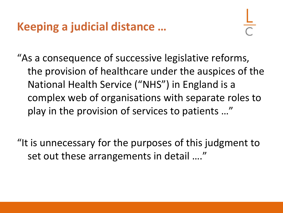"As a consequence of successive legislative reforms, the provision of healthcare under the auspices of the National Health Service ("NHS") in England is a complex web of organisations with separate roles to play in the provision of services to patients …"

"It is unnecessary for the purposes of this judgment to set out these arrangements in detail …."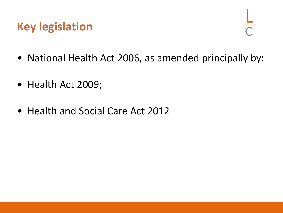# **Key legislation**

- National Health Act 2006, as amended principally by:
- Health Act 2009;
- Health and Social Care Act 2012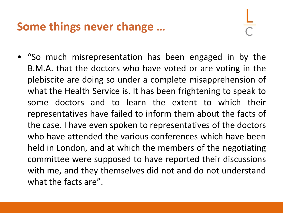#### **Some things never change …**

• "So much misrepresentation has been engaged in by the B.M.A. that the doctors who have voted or are voting in the plebiscite are doing so under a complete misapprehension of what the Health Service is. It has been frightening to speak to some doctors and to learn the extent to which their representatives have failed to inform them about the facts of the case. I have even spoken to representatives of the doctors who have attended the various conferences which have been held in London, and at which the members of the negotiating committee were supposed to have reported their discussions with me, and they themselves did not and do not understand what the facts are".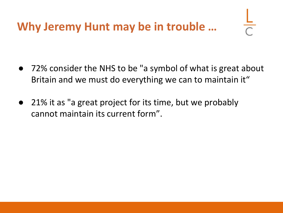- 72% consider the NHS to be "a symbol of what is great about Britain and we must do everything we can to maintain it"
- 21% it as "a great project for its time, but we probably cannot maintain its current form".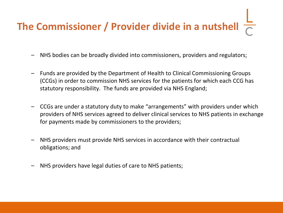# **The Commissioner / Provider divide in a nutshell**

- NHS bodies can be broadly divided into commissioners, providers and regulators;
- Funds are provided by the Department of Health to Clinical Commissioning Groups (CCGs) in order to commission NHS services for the patients for which each CCG has statutory responsibility. The funds are provided via NHS England;
- CCGs are under a statutory duty to make "arrangements" with providers under which providers of NHS services agreed to deliver clinical services to NHS patients in exchange for payments made by commissioners to the providers;
- NHS providers must provide NHS services in accordance with their contractual obligations; and
- NHS providers have legal duties of care to NHS patients;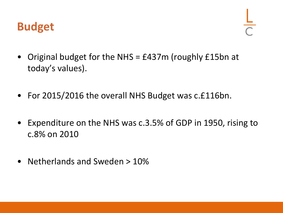#### **Budget**

- Original budget for the NHS = £437m (roughly £15bn at today's values).
- For 2015/2016 the overall NHS Budget was c.£116bn.
- Expenditure on the NHS was c.3.5% of GDP in 1950, rising to c.8% on 2010
- Netherlands and Sweden > 10%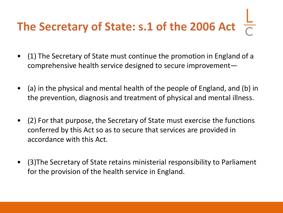# **The Secretary of State: s.1 of the 2006 Act**

- (1) The Secretary of State must continue the promotion in England of a comprehensive health service designed to secure improvement—
- (a) in the physical and mental health of the people of England, and (b) in the prevention, diagnosis and treatment of physical and mental illness.
- (2) For that purpose, the Secretary of State must exercise the functions conferred by this Act so as to secure that services are provided in accordance with this Act.
- (3)The Secretary of State retains ministerial responsibility to Parliament for the provision of the health service in England.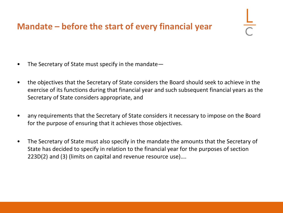#### **Mandate – before the start of every financial year**

- The Secretary of State must specify in the mandate—
- the objectives that the Secretary of State considers the Board should seek to achieve in the exercise of its functions during that financial year and such subsequent financial years as the Secretary of State considers appropriate, and
- any requirements that the Secretary of State considers it necessary to impose on the Board for the purpose of ensuring that it achieves those objectives.
- The Secretary of State must also specify in the mandate the amounts that the Secretary of State has decided to specify in relation to the financial year for the purposes of section 223D(2) and (3) (limits on capital and revenue resource use)….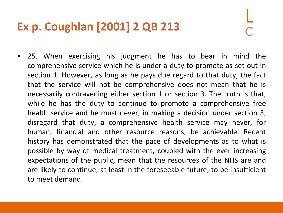# **Ex p. Coughlan [2001] 2 QB 213**

• 25. When exercising his judgment he has to bear in mind the comprehensive service which he is under a duty to promote as set out in section 1. However, as long as he pays due regard to that duty, the fact that the service will not be comprehensive does not mean that he is necessarily contravening either section 1 or section 3. The truth is that, while he has the duty to continue to promote a comprehensive free health service and he must never, in making a decision under section 3, disregard that duty, a comprehensive health service may never, for human, financial and other resource reasons, be achievable. Recent history has demonstrated that the pace of developments as to what is possible by way of medical treatment, coupled with the ever increasing expectations of the public, mean that the resources of the NHS are and are likely to continue, at least in the foreseeable future, to be insufficient to meet demand.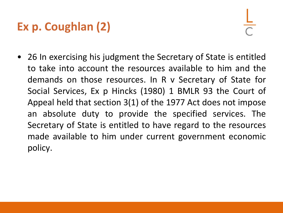# **Ex p. Coughlan (2)**

• 26 In exercising his judgment the Secretary of State is entitled to take into account the resources available to him and the demands on those resources. In R v Secretary of State for Social Services, Ex p Hincks (1980) 1 BMLR 93 the Court of Appeal held that section 3(1) of the 1977 Act does not impose an absolute duty to provide the specified services. The Secretary of State is entitled to have regard to the resources made available to him under current government economic policy.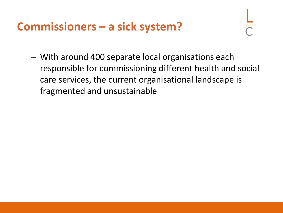#### **Commissioners – a sick system?**

– With around 400 separate local organisations each responsible for commissioning different health and social care services, the current organisational landscape is fragmented and unsustainable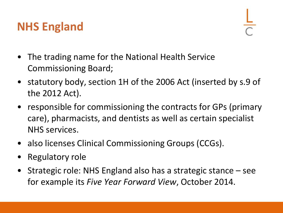# **NHS England**

- The trading name for the National Health Service Commissioning Board;
- statutory body, section 1H of the 2006 Act (inserted by s.9 of the 2012 Act).
- responsible for commissioning the contracts for GPs (primary care), pharmacists, and dentists as well as certain specialist NHS services.
- also licenses Clinical Commissioning Groups (CCGs).
- Regulatory role
- Strategic role: NHS England also has a strategic stance see for example its *Five Year Forward View*, October 2014.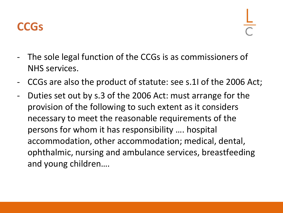

- The sole legal function of the CCGs is as commissioners of NHS services.
- CCGs are also the product of statute: see s.1I of the 2006 Act;
- Duties set out by s.3 of the 2006 Act: must arrange for the provision of the following to such extent as it considers necessary to meet the reasonable requirements of the persons for whom it has responsibility …. hospital accommodation, other accommodation; medical, dental, ophthalmic, nursing and ambulance services, breastfeeding and young children….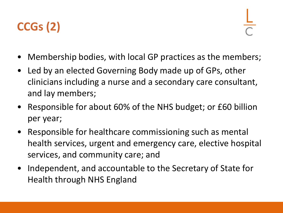

- Membership bodies, with local GP practices as the members;
- Led by an elected Governing Body made up of GPs, other clinicians including a nurse and a secondary care consultant, and lay members;
- Responsible for about 60% of the NHS budget; or £60 billion per year;
- Responsible for healthcare commissioning such as mental health services, urgent and emergency care, elective hospital services, and community care; and
- Independent, and accountable to the Secretary of State for Health through NHS England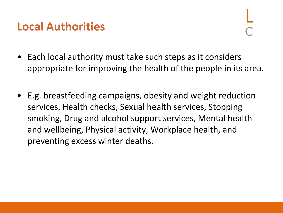#### **Local Authorities**

- Each local authority must take such steps as it considers appropriate for improving the health of the people in its area.
- E.g. breastfeeding campaigns, obesity and weight reduction services, Health checks, Sexual health services, Stopping smoking, Drug and alcohol support services, Mental health and wellbeing, Physical activity, Workplace health, and preventing excess winter deaths.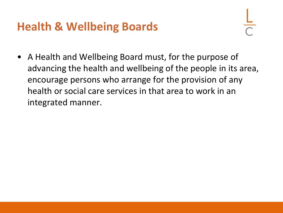### **Health & Wellbeing Boards**

• A Health and Wellbeing Board must, for the purpose of advancing the health and wellbeing of the people in its area, encourage persons who arrange for the provision of any health or social care services in that area to work in an integrated manner.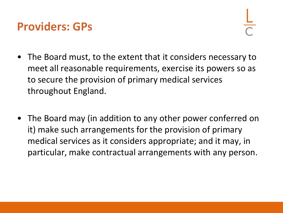#### **Providers: GPs**

- The Board must, to the extent that it considers necessary to meet all reasonable requirements, exercise its powers so as to secure the provision of primary medical services throughout England.
- The Board may (in addition to any other power conferred on it) make such arrangements for the provision of primary medical services as it considers appropriate; and it may, in particular, make contractual arrangements with any person.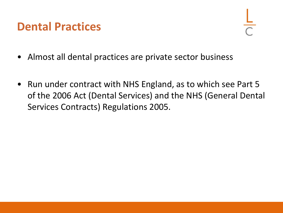#### **Dental Practices**

- Almost all dental practices are private sector business
- Run under contract with NHS England, as to which see Part 5 of the 2006 Act (Dental Services) and the NHS (General Dental Services Contracts) Regulations 2005.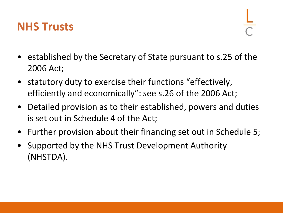#### **NHS Trusts**

- established by the Secretary of State pursuant to s.25 of the 2006 Act;
- statutory duty to exercise their functions "effectively, efficiently and economically": see s.26 of the 2006 Act;
- Detailed provision as to their established, powers and duties is set out in Schedule 4 of the Act;
- Further provision about their financing set out in Schedule 5;
- Supported by the NHS Trust Development Authority (NHSTDA).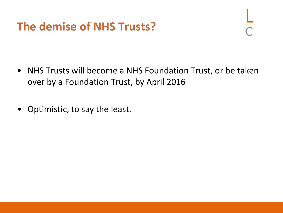# **The demise of NHS Trusts?**

- NHS Trusts will become a NHS Foundation Trust, or be taken over by a Foundation Trust, by April 2016
- Optimistic, to say the least.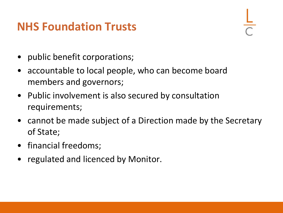### **NHS Foundation Trusts**

- public benefit corporations;
- accountable to local people, who can become board members and governors;
- Public involvement is also secured by consultation requirements;
- cannot be made subject of a Direction made by the Secretary of State;
- financial freedoms;
- regulated and licenced by Monitor.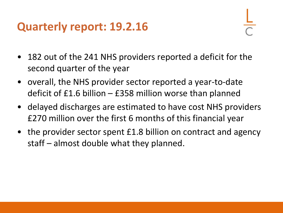#### **Quarterly report: 19.2.16**

- 182 out of the 241 NHS providers reported a deficit for the second quarter of the year
- overall, the NHS provider sector reported a year-to-date deficit of £1.6 billion – £358 million worse than planned
- delayed discharges are estimated to have cost NHS providers £270 million over the first 6 months of this financial year
- the provider sector spent £1.8 billion on contract and agency staff – almost double what they planned.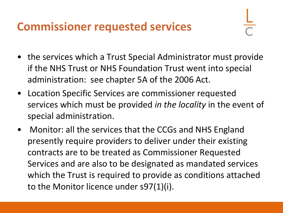#### **Commissioner requested services**

- the services which a Trust Special Administrator must provide if the NHS Trust or NHS Foundation Trust went into special administration: see chapter 5A of the 2006 Act.
- Location Specific Services are commissioner requested services which must be provided *in the locality* in the event of special administration.
- Monitor: all the services that the CCGs and NHS England presently require providers to deliver under their existing contracts are to be treated as Commissioner Requested Services and are also to be designated as mandated services which the Trust is required to provide as conditions attached to the Monitor licence under s97(1)(i).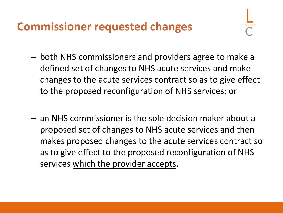#### **Commissioner requested changes**

- both NHS commissioners and providers agree to make a defined set of changes to NHS acute services and make changes to the acute services contract so as to give effect to the proposed reconfiguration of NHS services; or
- an NHS commissioner is the sole decision maker about a proposed set of changes to NHS acute services and then makes proposed changes to the acute services contract so as to give effect to the proposed reconfiguration of NHS services which the provider accepts.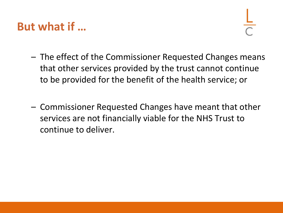#### **But what if …**

- The effect of the Commissioner Requested Changes means that other services provided by the trust cannot continue to be provided for the benefit of the health service; or
- Commissioner Requested Changes have meant that other services are not financially viable for the NHS Trust to continue to deliver.